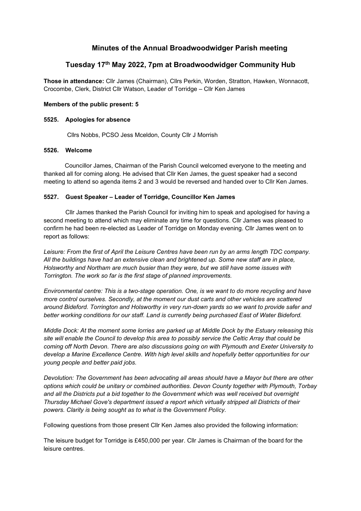# Minutes of the Annual Broadwoodwidger Parish meeting

## Tuesday 17th May 2022, 7pm at Broadwoodwidger Community Hub

Those in attendance: Cllr James (Chairman), Cllrs Perkin, Worden, Stratton, Hawken, Wonnacott, Crocombe, Clerk, District Cllr Watson, Leader of Torridge – Cllr Ken James

## Members of the public present: 5

## 5525. Apologies for absence

Cllrs Nobbs, PCSO Jess Mceldon, County Cllr J Morrish

## 5526. Welcome

Councillor James, Chairman of the Parish Council welcomed everyone to the meeting and thanked all for coming along. He advised that Cllr Ken James, the guest speaker had a second meeting to attend so agenda items 2 and 3 would be reversed and handed over to Cllr Ken James.

## 5527. Guest Speaker – Leader of Torridge, Councillor Ken James

 Cllr James thanked the Parish Council for inviting him to speak and apologised for having a second meeting to attend which may eliminate any time for questions. Cllr James was pleased to confirm he had been re-elected as Leader of Torridge on Monday evening. Cllr James went on to report as follows:

Leisure: From the first of April the Leisure Centres have been run by an arms length TDC company. All the buildings have had an extensive clean and brightened up. Some new staff are in place, Holsworthy and Northam are much busier than they were, but we still have some issues with Torrington. The work so far is the first stage of planned improvements.

Environmental centre: This is a two-stage operation. One, is we want to do more recycling and have more control ourselves. Secondly, at the moment our dust carts and other vehicles are scattered around Bideford. Torrington and Holsworthy in very run-down yards so we want to provide safer and better working conditions for our staff. Land is currently being purchased East of Water Bideford.

Middle Dock: At the moment some lorries are parked up at Middle Dock by the Estuary releasing this site will enable the Council to develop this area to possibly service the Celtic Array that could be coming off North Devon. There are also discussions going on with Plymouth and Exeter University to develop a Marine Excellence Centre. With high level skills and hopefully better opportunities for our young people and better paid jobs.

Devolution: The Government has been advocating all areas should have a Mayor but there are other options which could be unitary or combined authorities. Devon County together with Plymouth, Torbay and all the Districts put a bid together to the Government which was well received but overnight Thursday Michael Gove's department issued a report which virtually stripped all Districts of their powers. Clarity is being sought as to what is the Government Policy.

Following questions from those present Cllr Ken James also provided the following information:

The leisure budget for Torridge is £450,000 per year. Cllr James is Chairman of the board for the leisure centres.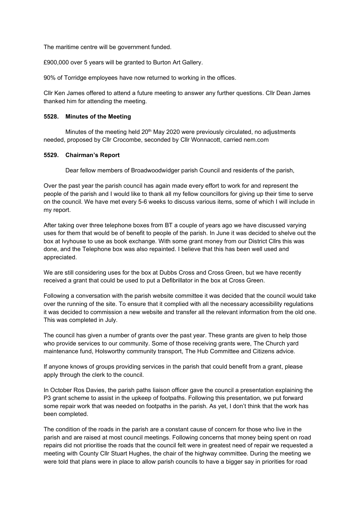The maritime centre will be government funded.

£900,000 over 5 years will be granted to Burton Art Gallery.

90% of Torridge employees have now returned to working in the offices.

Cllr Ken James offered to attend a future meeting to answer any further questions. Cllr Dean James thanked him for attending the meeting.

#### 5528. Minutes of the Meeting

Minutes of the meeting held 20<sup>th</sup> May 2020 were previously circulated, no adjustments needed, proposed by Cllr Crocombe, seconded by Cllr Wonnacott, carried nem.com

#### 5529. Chairman's Report

Dear fellow members of Broadwoodwidger parish Council and residents of the parish,

Over the past year the parish council has again made every effort to work for and represent the people of the parish and I would like to thank all my fellow councillors for giving up their time to serve on the council. We have met every 5-6 weeks to discuss various items, some of which I will include in my report.

After taking over three telephone boxes from BT a couple of years ago we have discussed varying uses for them that would be of benefit to people of the parish. In June it was decided to shelve out the box at Ivyhouse to use as book exchange. With some grant money from our District Cllrs this was done, and the Telephone box was also repainted. I believe that this has been well used and appreciated.

We are still considering uses for the box at Dubbs Cross and Cross Green, but we have recently received a grant that could be used to put a Defibrillator in the box at Cross Green.

Following a conversation with the parish website committee it was decided that the council would take over the running of the site. To ensure that it complied with all the necessary accessibility regulations it was decided to commission a new website and transfer all the relevant information from the old one. This was completed in July.

The council has given a number of grants over the past year. These grants are given to help those who provide services to our community. Some of those receiving grants were, The Church yard maintenance fund, Holsworthy community transport, The Hub Committee and Citizens advice.

If anyone knows of groups providing services in the parish that could benefit from a grant, please apply through the clerk to the council.

In October Ros Davies, the parish paths liaison officer gave the council a presentation explaining the P3 grant scheme to assist in the upkeep of footpaths. Following this presentation, we put forward some repair work that was needed on footpaths in the parish. As yet, I don't think that the work has been completed.

The condition of the roads in the parish are a constant cause of concern for those who live in the parish and are raised at most council meetings. Following concerns that money being spent on road repairs did not prioritise the roads that the council felt were in greatest need of repair we requested a meeting with County Cllr Stuart Hughes, the chair of the highway committee. During the meeting we were told that plans were in place to allow parish councils to have a bigger say in priorities for road